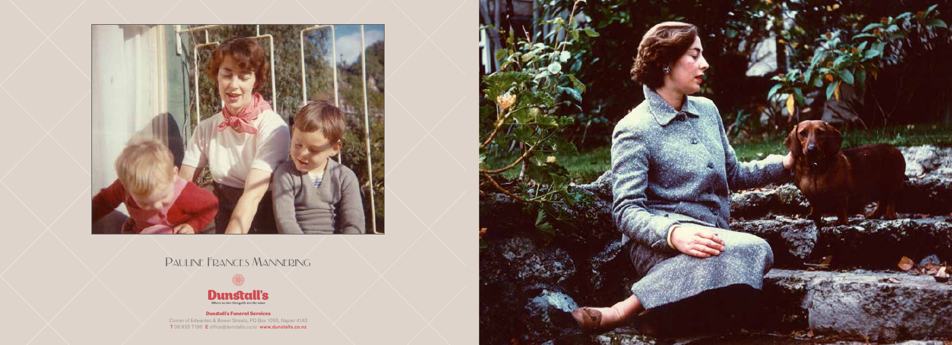

## Pauline Frances Mannering



#### Dunstall's Funeral Services Corner of Edwardes & Bower Streets, PO Box 1055, Napier 4140 T 06 835 7196 E office@dunstalls.co.nz www.dunstalls.co.nz